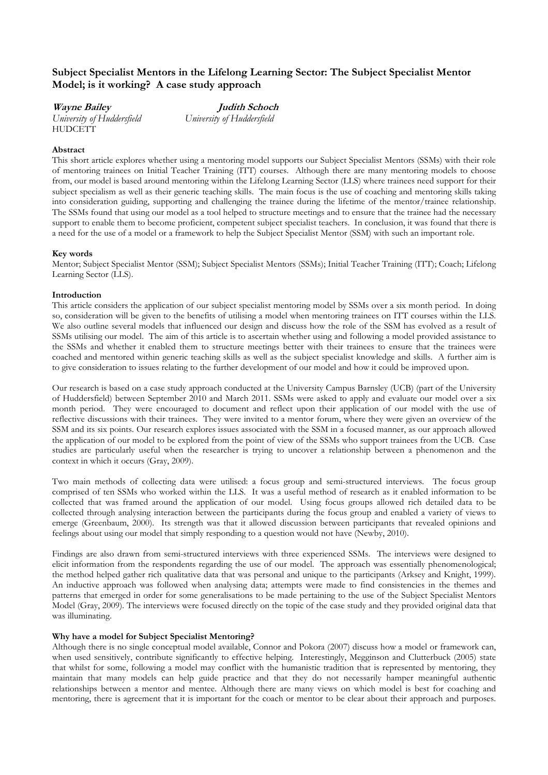# Subject Specialist Mentors in the Lifelong Learning Sector: The Subject Specialist Mentor Model; is it working? A case study approach

Wayne Bailey **Judith Schoch** University of Huddersfield University of Huddersfield **HUDCETT** 

## Abstract

This short article explores whether using a mentoring model supports our Subject Specialist Mentors (SSMs) with their role of mentoring trainees on Initial Teacher Training (ITT) courses. Although there are many mentoring models to choose from, our model is based around mentoring within the Lifelong Learning Sector (LLS) where trainees need support for their subject specialism as well as their generic teaching skills. The main focus is the use of coaching and mentoring skills taking into consideration guiding, supporting and challenging the trainee during the lifetime of the mentor/trainee relationship. The SSMs found that using our model as a tool helped to structure meetings and to ensure that the trainee had the necessary support to enable them to become proficient, competent subject specialist teachers. In conclusion, it was found that there is a need for the use of a model or a framework to help the Subject Specialist Mentor (SSM) with such an important role.

## Key words

Mentor; Subject Specialist Mentor (SSM); Subject Specialist Mentors (SSMs); Initial Teacher Training (ITT); Coach; Lifelong Learning Sector (LLS).

## Introduction

This article considers the application of our subject specialist mentoring model by SSMs over a six month period. In doing so, consideration will be given to the benefits of utilising a model when mentoring trainees on ITT courses within the LLS. We also outline several models that influenced our design and discuss how the role of the SSM has evolved as a result of SSMs utilising our model. The aim of this article is to ascertain whether using and following a model provided assistance to the SSMs and whether it enabled them to structure meetings better with their trainees to ensure that the trainees were coached and mentored within generic teaching skills as well as the subject specialist knowledge and skills. A further aim is to give consideration to issues relating to the further development of our model and how it could be improved upon.

Our research is based on a case study approach conducted at the University Campus Barnsley (UCB) (part of the University of Huddersfield) between September 2010 and March 2011. SSMs were asked to apply and evaluate our model over a six month period. They were encouraged to document and reflect upon their application of our model with the use of reflective discussions with their trainees. They were invited to a mentor forum, where they were given an overview of the SSM and its six points. Our research explores issues associated with the SSM in a focused manner, as our approach allowed the application of our model to be explored from the point of view of the SSMs who support trainees from the UCB. Case studies are particularly useful when the researcher is trying to uncover a relationship between a phenomenon and the context in which it occurs (Gray, 2009).

Two main methods of collecting data were utilised: a focus group and semi-structured interviews. The focus group comprised of ten SSMs who worked within the LLS. It was a useful method of research as it enabled information to be collected that was framed around the application of our model. Using focus groups allowed rich detailed data to be collected through analysing interaction between the participants during the focus group and enabled a variety of views to emerge (Greenbaum, 2000). Its strength was that it allowed discussion between participants that revealed opinions and feelings about using our model that simply responding to a question would not have (Newby, 2010).

Findings are also drawn from semi-structured interviews with three experienced SSMs. The interviews were designed to elicit information from the respondents regarding the use of our model. The approach was essentially phenomenological; the method helped gather rich qualitative data that was personal and unique to the participants (Arksey and Knight, 1999). An inductive approach was followed when analysing data; attempts were made to find consistencies in the themes and patterns that emerged in order for some generalisations to be made pertaining to the use of the Subject Specialist Mentors Model (Gray, 2009). The interviews were focused directly on the topic of the case study and they provided original data that was illuminating.

### Why have a model for Subject Specialist Mentoring?

Although there is no single conceptual model available, Connor and Pokora (2007) discuss how a model or framework can, when used sensitively, contribute significantly to effective helping. Interestingly, Megginson and Clutterbuck (2005) state that whilst for some, following a model may conflict with the humanistic tradition that is represented by mentoring, they maintain that many models can help guide practice and that they do not necessarily hamper meaningful authentic relationships between a mentor and mentee. Although there are many views on which model is best for coaching and mentoring, there is agreement that it is important for the coach or mentor to be clear about their approach and purposes.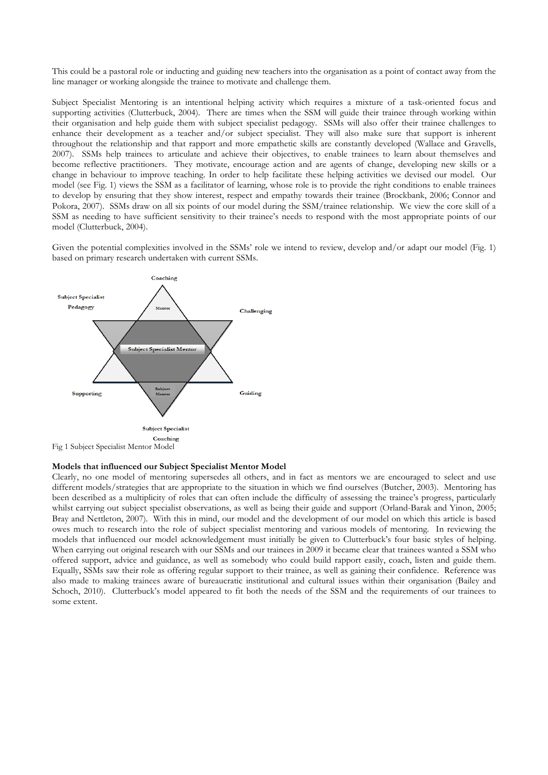This could be a pastoral role or inducting and guiding new teachers into the organisation as a point of contact away from the line manager or working alongside the trainee to motivate and challenge them.

Subject Specialist Mentoring is an intentional helping activity which requires a mixture of a task-oriented focus and supporting activities (Clutterbuck, 2004). There are times when the SSM will guide their trainee through working within their organisation and help guide them with subject specialist pedagogy. SSMs will also offer their trainee challenges to enhance their development as a teacher and/or subject specialist. They will also make sure that support is inherent throughout the relationship and that rapport and more empathetic skills are constantly developed (Wallace and Gravells, 2007). SSMs help trainees to articulate and achieve their objectives, to enable trainees to learn about themselves and become reflective practitioners. They motivate, encourage action and are agents of change, developing new skills or a change in behaviour to improve teaching. In order to help facilitate these helping activities we devised our model. Our model (see Fig. 1) views the SSM as a facilitator of learning, whose role is to provide the right conditions to enable trainees to develop by ensuring that they show interest, respect and empathy towards their trainee (Brockbank, 2006; Connor and Pokora, 2007). SSMs draw on all six points of our model during the SSM/trainee relationship. We view the core skill of a SSM as needing to have sufficient sensitivity to their trainee's needs to respond with the most appropriate points of our model (Clutterbuck, 2004).

Given the potential complexities involved in the SSMs' role we intend to review, develop and/or adapt our model (Fig. 1) based on primary research undertaken with current SSMs.



#### Models that influenced our Subject Specialist Mentor Model

Clearly, no one model of mentoring supersedes all others, and in fact as mentors we are encouraged to select and use different models/strategies that are appropriate to the situation in which we find ourselves (Butcher, 2003). Mentoring has been described as a multiplicity of roles that can often include the difficulty of assessing the trainee's progress, particularly whilst carrying out subject specialist observations, as well as being their guide and support (Orland-Barak and Yinon, 2005; Bray and Nettleton, 2007). With this in mind, our model and the development of our model on which this article is based owes much to research into the role of subject specialist mentoring and various models of mentoring. In reviewing the models that influenced our model acknowledgement must initially be given to Clutterbuck's four basic styles of helping. When carrying out original research with our SSMs and our trainees in 2009 it became clear that trainees wanted a SSM who offered support, advice and guidance, as well as somebody who could build rapport easily, coach, listen and guide them. Equally, SSMs saw their role as offering regular support to their trainee, as well as gaining their confidence. Reference was also made to making trainees aware of bureaucratic institutional and cultural issues within their organisation (Bailey and Schoch, 2010). Clutterbuck's model appeared to fit both the needs of the SSM and the requirements of our trainees to some extent.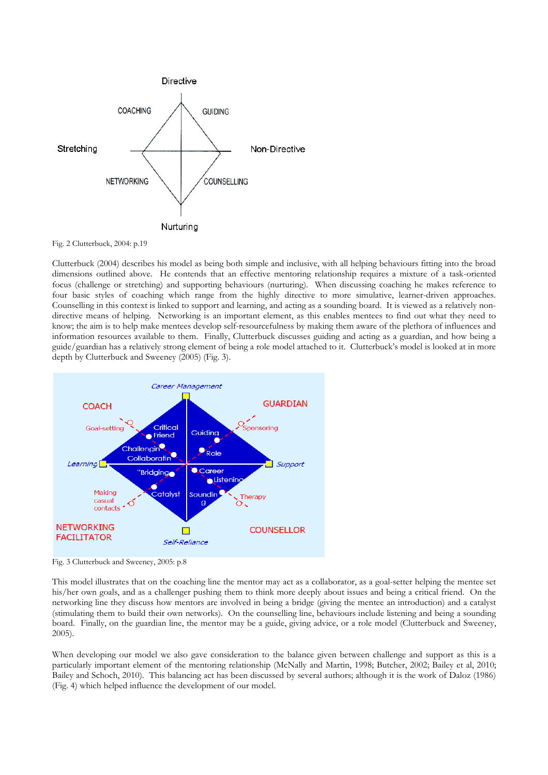

Fig. 2 Clutterbuck, 2004: p.19

Clutterbuck (2004) describes his model as being both simple and inclusive, with all helping behaviours fitting into the broad dimensions outlined above. He contends that an effective mentoring relationship requires a mixture of a task-oriented focus (challenge or stretching) and supporting behaviours (nurturing). When discussing coaching he makes reference to four basic styles of coaching which range from the highly directive to more simulative, learner-driven approaches. Counselling in this context is linked to support and learning, and acting as a sounding board. It is viewed as a relatively nondirective means of helping. Networking is an important element, as this enables mentees to find out what they need to know; the aim is to help make mentees develop self-resourcefulness by making them aware of the plethora of influences and information resources available to them. Finally, Clutterbuck discusses guiding and acting as a guardian, and how being a guide/guardian has a relatively strong element of being a role model attached to it. Clutterbuck's model is looked at in more depth by Clutterbuck and Sweeney (2005) (Fig. 3).



Fig. 3 Clutterbuck and Sweeney, 2005: p.8

This model illustrates that on the coaching line the mentor may act as a collaborator, as a goal-setter helping the mentee set his/her own goals, and as a challenger pushing them to think more deeply about issues and being a critical friend. On the networking line they discuss how mentors are involved in being a bridge (giving the mentee an introduction) and a catalyst (stimulating them to build their own networks). On the counselling line, behaviours include listening and being a sounding board. Finally, on the guardian line, the mentor may be a guide, giving advice, or a role model (Clutterbuck and Sweeney, 2005).

When developing our model we also gave consideration to the balance given between challenge and support as this is a particularly important element of the mentoring relationship (McNally and Martin, 1998; Butcher, 2002; Bailey et al, 2010; Bailey and Schoch, 2010). This balancing act has been discussed by several authors; although it is the work of Daloz (1986) (Fig. 4) which helped influence the development of our model.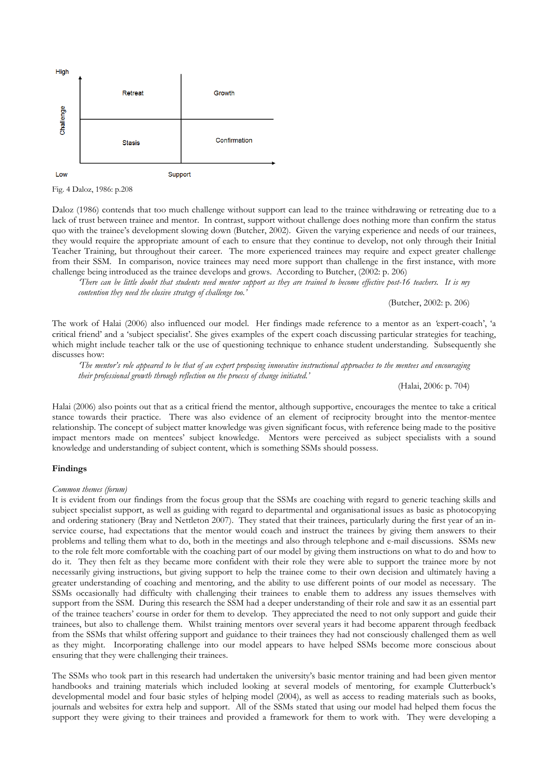

Fig. 4 Daloz, 1986: p.208

Daloz (1986) contends that too much challenge without support can lead to the trainee withdrawing or retreating due to a lack of trust between trainee and mentor. In contrast, support without challenge does nothing more than confirm the status quo with the trainee's development slowing down (Butcher, 2002). Given the varying experience and needs of our trainees, they would require the appropriate amount of each to ensure that they continue to develop, not only through their Initial Teacher Training, but throughout their career. The more experienced trainees may require and expect greater challenge from their SSM. In comparison, novice trainees may need more support than challenge in the first instance, with more challenge being introduced as the trainee develops and grows. According to Butcher, (2002: p. 206)

'There can be little doubt that students need mentor support as they are trained to become effective post-16 teachers. It is my contention they need the elusive strategy of challenge too.'

(Butcher, 2002: p. 206)

The work of Halai (2006) also influenced our model. Her findings made reference to a mentor as an 'expert-coach', 'a critical friend' and a 'subject specialist'. She gives examples of the expert coach discussing particular strategies for teaching, which might include teacher talk or the use of questioning technique to enhance student understanding. Subsequently she discusses how:

'The mentor's role appeared to be that of an expert proposing innovative instructional approaches to the mentees and encouraging their professional growth through reflection on the process of change initiated.'

(Halai, 2006: p. 704)

Halai (2006) also points out that as a critical friend the mentor, although supportive, encourages the mentee to take a critical stance towards their practice. There was also evidence of an element of reciprocity brought into the mentor-mentee relationship. The concept of subject matter knowledge was given significant focus, with reference being made to the positive impact mentors made on mentees' subject knowledge. Mentors were perceived as subject specialists with a sound knowledge and understanding of subject content, which is something SSMs should possess.

#### Findings

### Common themes (forum)

It is evident from our findings from the focus group that the SSMs are coaching with regard to generic teaching skills and subject specialist support, as well as guiding with regard to departmental and organisational issues as basic as photocopying and ordering stationery (Bray and Nettleton 2007). They stated that their trainees, particularly during the first year of an inservice course, had expectations that the mentor would coach and instruct the trainees by giving them answers to their problems and telling them what to do, both in the meetings and also through telephone and e-mail discussions. SSMs new to the role felt more comfortable with the coaching part of our model by giving them instructions on what to do and how to do it. They then felt as they became more confident with their role they were able to support the trainee more by not necessarily giving instructions, but giving support to help the trainee come to their own decision and ultimately having a greater understanding of coaching and mentoring, and the ability to use different points of our model as necessary. The SSMs occasionally had difficulty with challenging their trainees to enable them to address any issues themselves with support from the SSM. During this research the SSM had a deeper understanding of their role and saw it as an essential part of the trainee teachers' course in order for them to develop. They appreciated the need to not only support and guide their trainees, but also to challenge them. Whilst training mentors over several years it had become apparent through feedback from the SSMs that whilst offering support and guidance to their trainees they had not consciously challenged them as well as they might. Incorporating challenge into our model appears to have helped SSMs become more conscious about ensuring that they were challenging their trainees.

The SSMs who took part in this research had undertaken the university's basic mentor training and had been given mentor handbooks and training materials which included looking at several models of mentoring, for example Clutterbuck's developmental model and four basic styles of helping model (2004), as well as access to reading materials such as books, journals and websites for extra help and support. All of the SSMs stated that using our model had helped them focus the support they were giving to their trainees and provided a framework for them to work with. They were developing a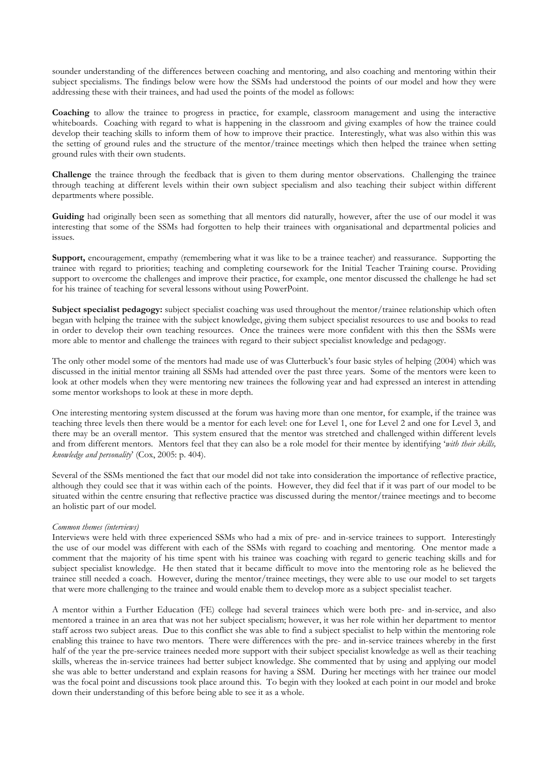sounder understanding of the differences between coaching and mentoring, and also coaching and mentoring within their subject specialisms. The findings below were how the SSMs had understood the points of our model and how they were addressing these with their trainees, and had used the points of the model as follows:

Coaching to allow the trainee to progress in practice, for example, classroom management and using the interactive whiteboards. Coaching with regard to what is happening in the classroom and giving examples of how the trainee could develop their teaching skills to inform them of how to improve their practice. Interestingly, what was also within this was the setting of ground rules and the structure of the mentor/trainee meetings which then helped the trainee when setting ground rules with their own students.

Challenge the trainee through the feedback that is given to them during mentor observations. Challenging the trainee through teaching at different levels within their own subject specialism and also teaching their subject within different departments where possible.

Guiding had originally been seen as something that all mentors did naturally, however, after the use of our model it was interesting that some of the SSMs had forgotten to help their trainees with organisational and departmental policies and issues.

Support, encouragement, empathy (remembering what it was like to be a trainee teacher) and reassurance. Supporting the trainee with regard to priorities; teaching and completing coursework for the Initial Teacher Training course. Providing support to overcome the challenges and improve their practice, for example, one mentor discussed the challenge he had set for his trainee of teaching for several lessons without using PowerPoint.

Subject specialist pedagogy: subject specialist coaching was used throughout the mentor/trainee relationship which often began with helping the trainee with the subject knowledge, giving them subject specialist resources to use and books to read in order to develop their own teaching resources. Once the trainees were more confident with this then the SSMs were more able to mentor and challenge the trainees with regard to their subject specialist knowledge and pedagogy.

The only other model some of the mentors had made use of was Clutterbuck's four basic styles of helping (2004) which was discussed in the initial mentor training all SSMs had attended over the past three years. Some of the mentors were keen to look at other models when they were mentoring new trainees the following year and had expressed an interest in attending some mentor workshops to look at these in more depth.

One interesting mentoring system discussed at the forum was having more than one mentor, for example, if the trainee was teaching three levels then there would be a mentor for each level: one for Level 1, one for Level 2 and one for Level 3, and there may be an overall mentor. This system ensured that the mentor was stretched and challenged within different levels and from different mentors. Mentors feel that they can also be a role model for their mentee by identifying 'with their skills, knowledge and personality' (Cox, 2005: p. 404).

Several of the SSMs mentioned the fact that our model did not take into consideration the importance of reflective practice, although they could see that it was within each of the points. However, they did feel that if it was part of our model to be situated within the centre ensuring that reflective practice was discussed during the mentor/trainee meetings and to become an holistic part of our model.

### Common themes (interviews)

Interviews were held with three experienced SSMs who had a mix of pre- and in-service trainees to support. Interestingly the use of our model was different with each of the SSMs with regard to coaching and mentoring. One mentor made a comment that the majority of his time spent with his trainee was coaching with regard to generic teaching skills and for subject specialist knowledge. He then stated that it became difficult to move into the mentoring role as he believed the trainee still needed a coach. However, during the mentor/trainee meetings, they were able to use our model to set targets that were more challenging to the trainee and would enable them to develop more as a subject specialist teacher.

A mentor within a Further Education (FE) college had several trainees which were both pre- and in-service, and also mentored a trainee in an area that was not her subject specialism; however, it was her role within her department to mentor staff across two subject areas. Due to this conflict she was able to find a subject specialist to help within the mentoring role enabling this trainee to have two mentors. There were differences with the pre- and in-service trainees whereby in the first half of the year the pre-service trainees needed more support with their subject specialist knowledge as well as their teaching skills, whereas the in-service trainees had better subject knowledge. She commented that by using and applying our model she was able to better understand and explain reasons for having a SSM. During her meetings with her trainee our model was the focal point and discussions took place around this. To begin with they looked at each point in our model and broke down their understanding of this before being able to see it as a whole.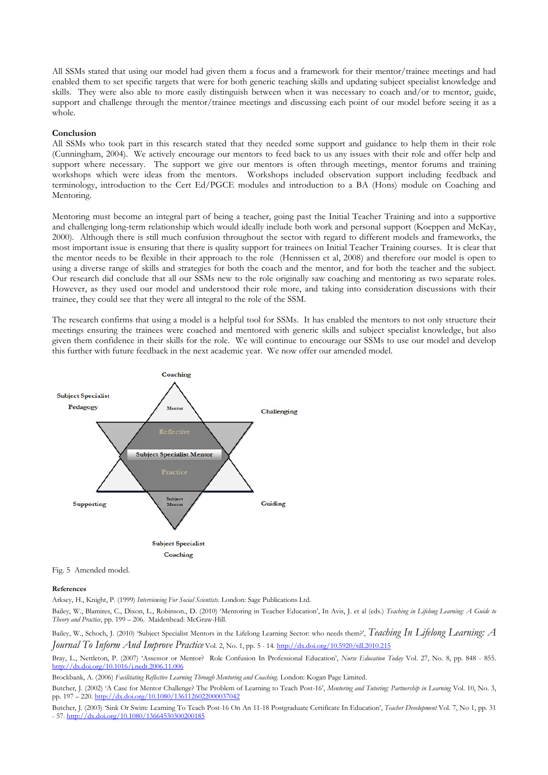All SSMs stated that using our model had given them a focus and a framework for their mentor/trainee meetings and had enabled them to set specific targets that were for both generic teaching skills and updating subject specialist knowledge and skills. They were also able to more easily distinguish between when it was necessary to coach and/or to mentor, guide, support and challenge through the mentor/trainee meetings and discussing each point of our model before seeing it as a whole.

#### Conclusion

All SSMs who took part in this research stated that they needed some support and guidance to help them in their role (Cunningham, 2004). We actively encourage our mentors to feed back to us any issues with their role and offer help and support where necessary. The support we give our mentors is often through meetings, mentor forums and training workshops which were ideas from the mentors. Workshops included observation support including feedback and terminology, introduction to the Cert Ed/PGCE modules and introduction to a BA (Hons) module on Coaching and Mentoring.

Mentoring must become an integral part of being a teacher, going past the Initial Teacher Training and into a supportive and challenging long-term relationship which would ideally include both work and personal support (Koeppen and McKay, 2000). Although there is still much confusion throughout the sector with regard to different models and frameworks, the most important issue is ensuring that there is quality support for trainees on Initial Teacher Training courses. It is clear that the mentor needs to be flexible in their approach to the role (Hennissen et al, 2008) and therefore our model is open to using a diverse range of skills and strategies for both the coach and the mentor, and for both the teacher and the subject. Our research did conclude that all our SSMs new to the role originally saw coaching and mentoring as two separate roles. However, as they used our model and understood their role more, and taking into consideration discussions with their trainee, they could see that they were all integral to the role of the SSM.

The research confirms that using a model is a helpful tool for SSMs. It has enabled the mentors to not only structure their meetings ensuring the trainees were coached and mentored with generic skills and subject specialist knowledge, but also given them confidence in their skills for the role. We will continue to encourage our SSMs to use our model and develop this further with future feedback in the next academic year. We now offer our amended model.



Fig. 5 Amended model.

#### References

Arksey, H., Knight, P. (1999) Interviewing For Social Scientists. London: Sage Publications Ltd.

Bailey, W., Blamires, C., Dixon, L., Robinson., D. (2010) 'Mentoring in Teacher Education', In Avis, J. et al (eds.) Teaching in Lifelong Learning: A Guide to Theory and Practice, pp. 199 – 206. Maidenhead: McGraw-Hill.

Bailey, W., Schoch, J. (2010) 'Subject Specialist Mentors in the Lifelong Learning Sector: who needs them?', Teaching In Lifelong Learning: A Journal To Inform And Improve Practice Vol. 2, No. 1, pp. 5 - 14. http://dx.doi.org/10.5920/till.2010.215

Bray, L., Nettleton, P. (2007) 'Assessor or Mentor? Role Confusion In Professional Education', Nurse Education Today Vol. 27, No. 8, pp. 848 - 855. http://dx.doi.org/10.1016/j.nedt.2006.11.006

Brockbank, A. (2006) Facilitating Reflective Learning Through Mentoring and Coaching. London: Kogan Page Limited.

Butcher, J. (2002) 'A Case for Mentor Challenge? The Problem of Learning to Teach Post-16', Mentoring and Tutoring: Partnership in Learning Vol. 10, No. 3, pp. 197 – 220. http://dx.doi.org/10.1080/1361126022000037042

Butcher, J. (2003) 'Sink Or Swim: Learning To Teach Post-16 On An 11-18 Postgraduate Certificate In Education', Teacher Development Vol. 7, No 1, pp. 31 - 57. http://dx.doi.org/10.1080/13664530300200185